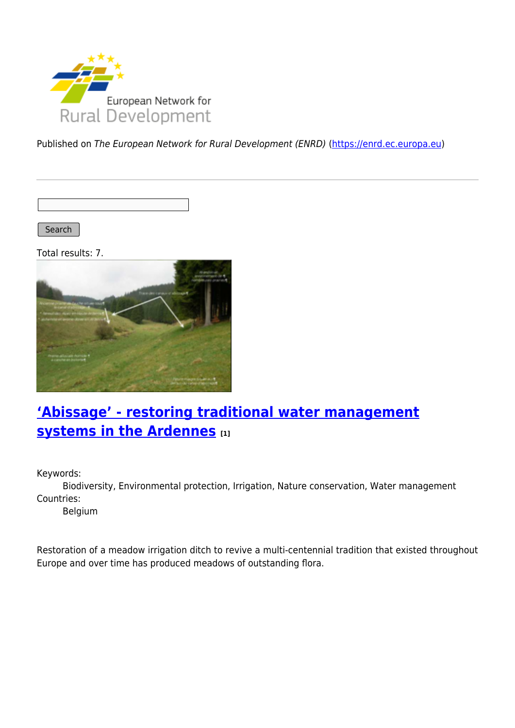

Published on The European Network for Rural Development (ENRD) [\(https://enrd.ec.europa.eu](https://enrd.ec.europa.eu))

Search |

Total results: 7.



# **['Abissage' - restoring traditional water management](https://enrd.ec.europa.eu/projects-practice/abissage-restoring-traditional-water-management-systems-ardennes_en) [systems in the Ardennes](https://enrd.ec.europa.eu/projects-practice/abissage-restoring-traditional-water-management-systems-ardennes_en) [1]**

Keywords:

Biodiversity, Environmental protection, Irrigation, Nature conservation, Water management Countries:

Belgium

Restoration of a meadow irrigation ditch to revive a multi-centennial tradition that existed throughout Europe and over time has produced meadows of outstanding flora.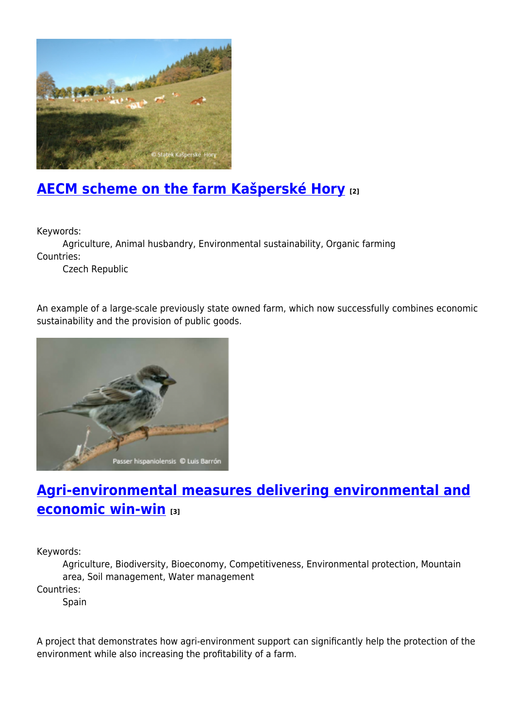

# **[AECM scheme on the farm Kašperské Hory](https://enrd.ec.europa.eu/projects-practice/aecm-scheme-farm-kasperske-hory_en) [2]**

Keywords:

Agriculture, Animal husbandry, Environmental sustainability, Organic farming Countries:

Czech Republic

An example of a large-scale previously state owned farm, which now successfully combines economic sustainability and the provision of public goods.



### **[Agri-environmental measures delivering environmental and](https://enrd.ec.europa.eu/projects-practice/agri-environmental-measures-environmental-economic-win-win_en) [economic win-win](https://enrd.ec.europa.eu/projects-practice/agri-environmental-measures-environmental-economic-win-win_en) [3]**

Keywords:

Agriculture, Biodiversity, Bioeconomy, Competitiveness, Environmental protection, Mountain area, Soil management, Water management

Countries:

Spain

A project that demonstrates how agri-environment support can significantly help the protection of the environment while also increasing the profitability of a farm.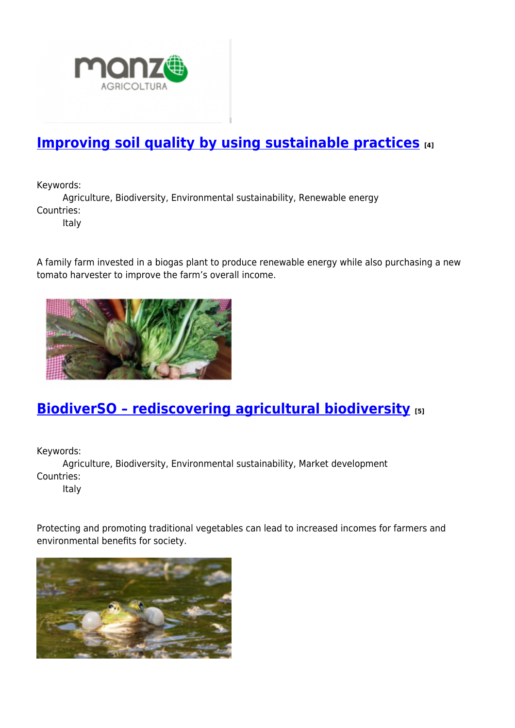

## **[Improving soil quality by using sustainable practices](https://enrd.ec.europa.eu/projects-practice/improving-soil-quality-using-sustainable-practices_en)** [4]

Keywords:

Agriculture, Biodiversity, Environmental sustainability, Renewable energy Countries:

Italy

A family farm invested in a biogas plant to produce renewable energy while also purchasing a new tomato harvester to improve the farm's overall income.



# **[BiodiverSO – rediscovering agricultural biodiversity](https://enrd.ec.europa.eu/projects-practice/biodiverso-rediscovering-agricultural-biodiversity_en) [5]**

Keywords:

Agriculture, Biodiversity, Environmental sustainability, Market development Countries:

Italy

Protecting and promoting traditional vegetables can lead to increased incomes for farmers and environmental benefits for society.

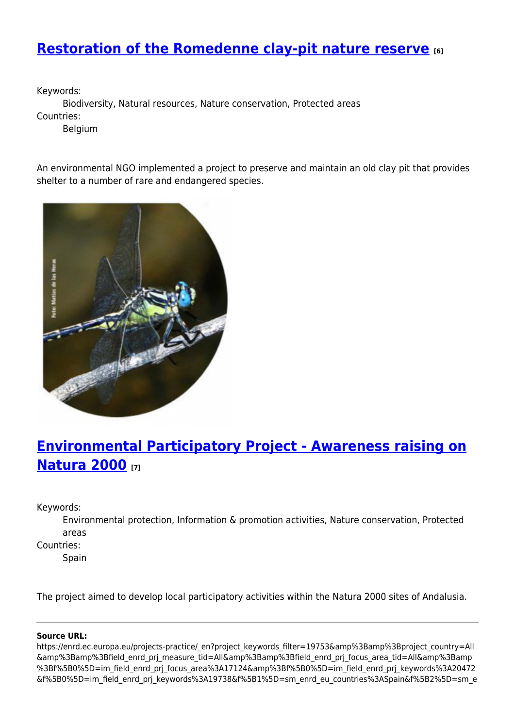#### **[Restoration of the Romedenne clay-pit nature reserve](https://enrd.ec.europa.eu/projects-practice/restoration-romedenne-clay-pit-nature-reserve_en) [6]**

Keywords:

Biodiversity, Natural resources, Nature conservation, Protected areas Countries:

Belgium

An environmental NGO implemented a project to preserve and maintain an old clay pit that provides shelter to a number of rare and endangered species.



## **[Environmental Participatory Project - Awareness raising on](https://enrd.ec.europa.eu/projects-practice/environmental-participatory-project-awareness-raising-natura-2000_en) [Natura 2000](https://enrd.ec.europa.eu/projects-practice/environmental-participatory-project-awareness-raising-natura-2000_en) [7]**

Keywords:

Environmental protection, Information & promotion activities, Nature conservation, Protected areas

Countries:

Spain

The project aimed to develop local participatory activities within the Natura 2000 sites of Andalusia.

#### **Source URL:**

https://enrd.ec.europa.eu/projects-practice/\_en?project\_keywords\_filter=19753&amp%3Bamp%3Bproject\_country=All &amp%3Bamp%3Bfield\_enrd\_prj\_measure\_tid=All&amp%3Bamp%3Bfield\_enrd\_prj\_focus\_area\_tid=All&amp%3Bamp %3Bf%5B0%5D=im\_field\_enrd\_prj\_focus\_area%3A17124&amp%3Bf%5B0%5D=im\_field\_enrd\_prj\_keywords%3A20472 &f%5B0%5D=im\_field\_enrd\_prj\_keywords%3A19738&f%5B1%5D=sm\_enrd\_eu\_countries%3ASpain&f%5B2%5D=sm\_e